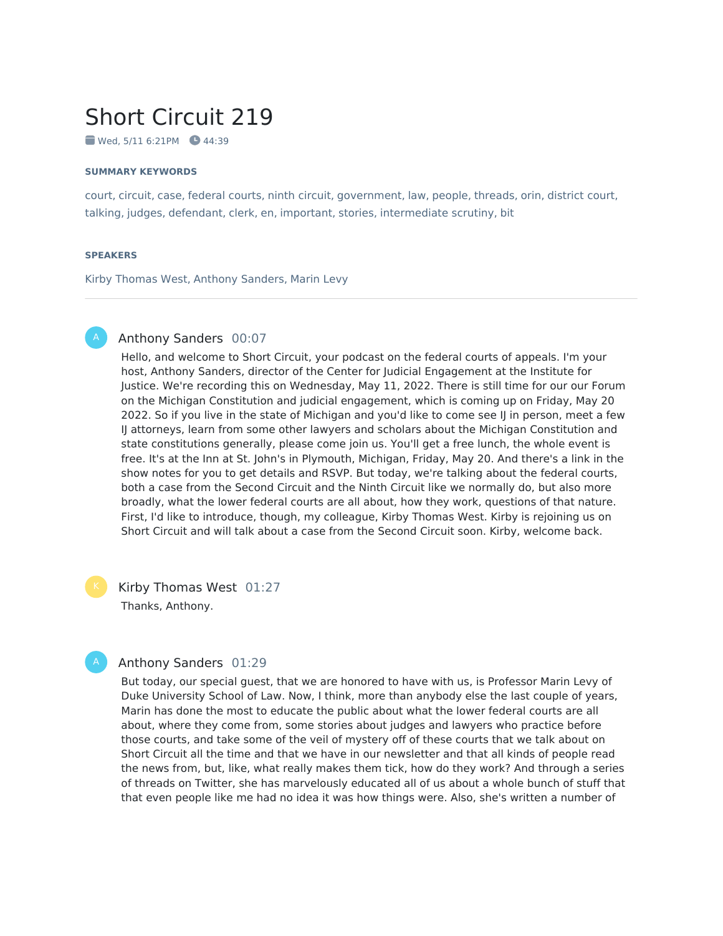# Short Circuit 219

 $\bullet$  Wed, 5/11 6:21PM  $\bullet$  44:39

#### **SUMMARY KEYWORDS**

court, circuit, case, federal courts, ninth circuit, government, law, people, threads, orin, district court, talking, judges, defendant, clerk, en, important, stories, intermediate scrutiny, bit

#### **SPEAKERS**

Kirby Thomas West, Anthony Sanders, Marin Levy

## Anthony Sanders 00:07

Hello, and welcome to Short Circuit, your podcast on the federal courts of appeals. I'm your host, Anthony Sanders, director of the Center for Judicial Engagement at the Institute for Justice. We're recording this on Wednesday, May 11, 2022. There is still time for our our Forum on the Michigan Constitution and judicial engagement, which is coming up on Friday, May 20 2022. So if you live in the state of Michigan and you'd like to come see IJ in person, meet a few IJ attorneys, learn from some other lawyers and scholars about the Michigan Constitution and state constitutions generally, please come join us. You'll get a free lunch, the whole event is free. It's at the Inn at St. John's in Plymouth, Michigan, Friday, May 20. And there's a link in the show notes for you to get details and RSVP. But today, we're talking about the federal courts, both a case from the Second Circuit and the Ninth Circuit like we normally do, but also more broadly, what the lower federal courts are all about, how they work, questions of that nature. First, I'd like to introduce, though, my colleague, Kirby Thomas West. Kirby is rejoining us on Short Circuit and will talk about a case from the Second Circuit soon. Kirby, welcome back.

Kirby Thomas West 01:27 Thanks, Anthony.

#### Anthony Sanders 01:29

But today, our special guest, that we are honored to have with us, is Professor Marin Levy of Duke University School of Law. Now, I think, more than anybody else the last couple of years, Marin has done the most to educate the public about what the lower federal courts are all about, where they come from, some stories about judges and lawyers who practice before those courts, and take some of the veil of mystery off of these courts that we talk about on Short Circuit all the time and that we have in our newsletter and that all kinds of people read the news from, but, like, what really makes them tick, how do they work? And through a series of threads on Twitter, she has marvelously educated all of us about a whole bunch of stuff that that even people like me had no idea it was how things were. Also, she's written a number of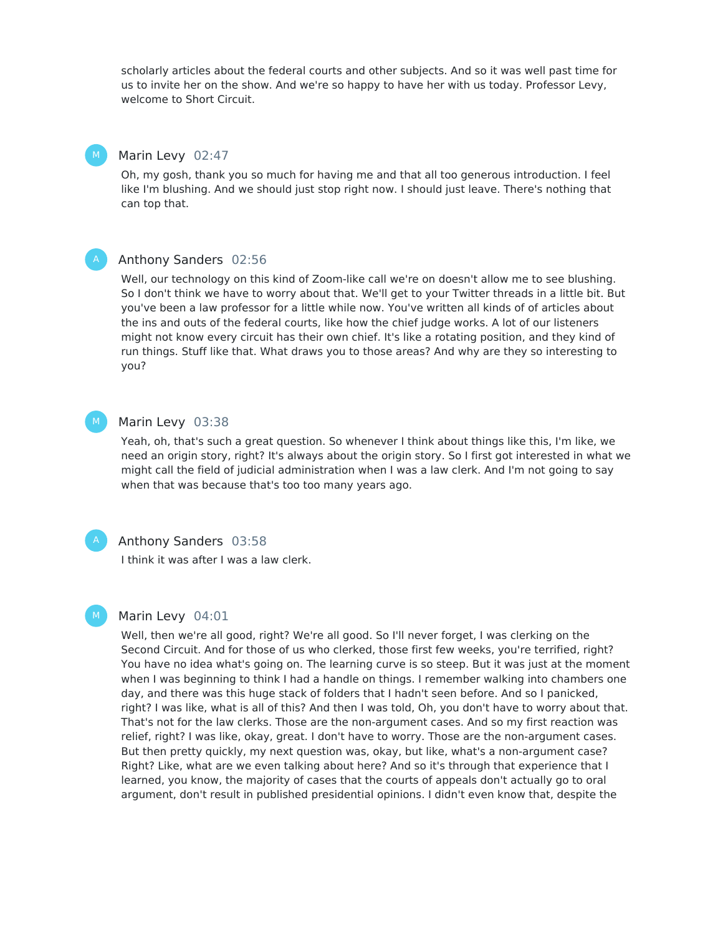scholarly articles about the federal courts and other subjects. And so it was well past time for us to invite her on the show. And we're so happy to have her with us today. Professor Levy, welcome to Short Circuit.

### Marin Levy 02:47

Oh, my gosh, thank you so much for having me and that all too generous introduction. I feel like I'm blushing. And we should just stop right now. I should just leave. There's nothing that can top that.



M

#### Anthony Sanders 02:56

Well, our technology on this kind of Zoom-like call we're on doesn't allow me to see blushing. So I don't think we have to worry about that. We'll get to your Twitter threads in a little bit. But you've been a law professor for a little while now. You've written all kinds of of articles about the ins and outs of the federal courts, like how the chief judge works. A lot of our listeners might not know every circuit has their own chief. It's like a rotating position, and they kind of run things. Stuff like that. What draws you to those areas? And why are they so interesting to you?

#### Marin Levy 03:38  $M_{\odot}$

Yeah, oh, that's such a great question. So whenever I think about things like this, I'm like, we need an origin story, right? It's always about the origin story. So I first got interested in what we might call the field of judicial administration when I was a law clerk. And I'm not going to say when that was because that's too too many years ago.



M

### Anthony Sanders 03:58

I think it was after I was a law clerk.

#### Marin Levy 04:01

Well, then we're all good, right? We're all good. So I'll never forget, I was clerking on the Second Circuit. And for those of us who clerked, those first few weeks, you're terrified, right? You have no idea what's going on. The learning curve is so steep. But it was just at the moment when I was beginning to think I had a handle on things. I remember walking into chambers one day, and there was this huge stack of folders that I hadn't seen before. And so I panicked, right? I was like, what is all of this? And then I was told, Oh, you don't have to worry about that. That's not for the law clerks. Those are the non-argument cases. And so my first reaction was relief, right? I was like, okay, great. I don't have to worry. Those are the non-argument cases. But then pretty quickly, my next question was, okay, but like, what's a non-argument case? Right? Like, what are we even talking about here? And so it's through that experience that I learned, you know, the majority of cases that the courts of appeals don't actually go to oral argument, don't result in published presidential opinions. I didn't even know that, despite the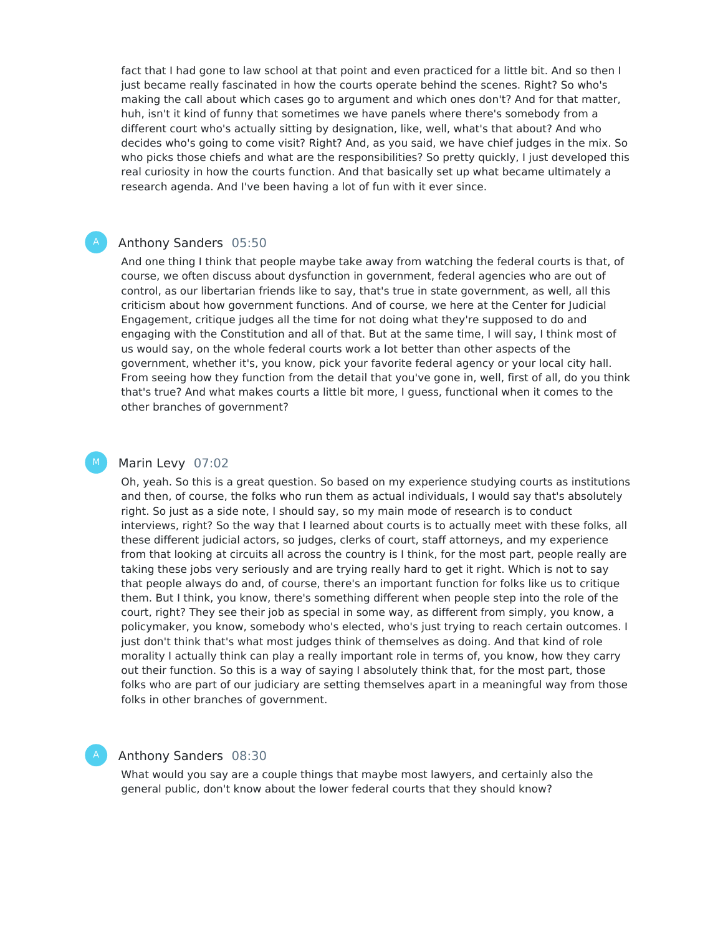fact that I had gone to law school at that point and even practiced for a little bit. And so then I just became really fascinated in how the courts operate behind the scenes. Right? So who's making the call about which cases go to argument and which ones don't? And for that matter, huh, isn't it kind of funny that sometimes we have panels where there's somebody from a different court who's actually sitting by designation, like, well, what's that about? And who decides who's going to come visit? Right? And, as you said, we have chief judges in the mix. So who picks those chiefs and what are the responsibilities? So pretty quickly, I just developed this real curiosity in how the courts function. And that basically set up what became ultimately a research agenda. And I've been having a lot of fun with it ever since.

### Anthony Sanders 05:50

And one thing I think that people maybe take away from watching the federal courts is that, of course, we often discuss about dysfunction in government, federal agencies who are out of control, as our libertarian friends like to say, that's true in state government, as well, all this criticism about how government functions. And of course, we here at the Center for Judicial Engagement, critique judges all the time for not doing what they're supposed to do and engaging with the Constitution and all of that. But at the same time, I will say, I think most of us would say, on the whole federal courts work a lot better than other aspects of the government, whether it's, you know, pick your favorite federal agency or your local city hall. From seeing how they function from the detail that you've gone in, well, first of all, do you think that's true? And what makes courts a little bit more, I guess, functional when it comes to the other branches of government?

#### Marin Levy 07:02 M

Oh, yeah. So this is a great question. So based on my experience studying courts as institutions and then, of course, the folks who run them as actual individuals, I would say that's absolutely right. So just as a side note, I should say, so my main mode of research is to conduct interviews, right? So the way that I learned about courts is to actually meet with these folks, all these different judicial actors, so judges, clerks of court, staff attorneys, and my experience from that looking at circuits all across the country is I think, for the most part, people really are taking these jobs very seriously and are trying really hard to get it right. Which is not to say that people always do and, of course, there's an important function for folks like us to critique them. But I think, you know, there's something different when people step into the role of the court, right? They see their job as special in some way, as different from simply, you know, a policymaker, you know, somebody who's elected, who's just trying to reach certain outcomes. I just don't think that's what most judges think of themselves as doing. And that kind of role morality I actually think can play a really important role in terms of, you know, how they carry out their function. So this is a way of saying I absolutely think that, for the most part, those folks who are part of our judiciary are setting themselves apart in a meaningful way from those folks in other branches of government.

## Anthony Sanders 08:30

What would you say are a couple things that maybe most lawyers, and certainly also the general public, don't know about the lower federal courts that they should know?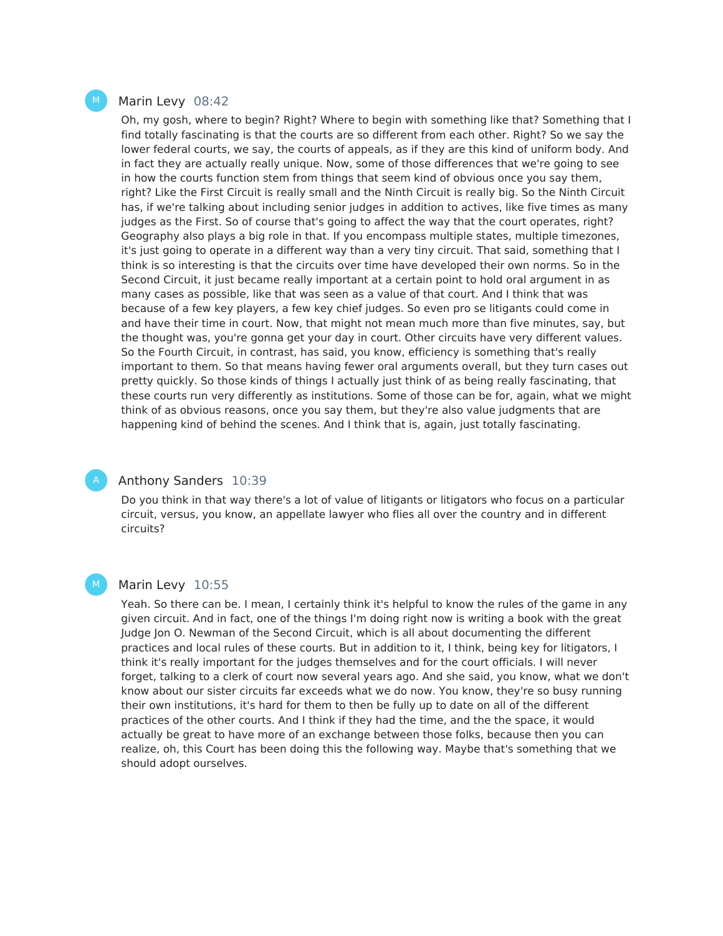#### Marin Levy 08:42

Oh, my gosh, where to begin? Right? Where to begin with something like that? Something that I find totally fascinating is that the courts are so different from each other. Right? So we say the lower federal courts, we say, the courts of appeals, as if they are this kind of uniform body. And in fact they are actually really unique. Now, some of those differences that we're going to see in how the courts function stem from things that seem kind of obvious once you say them, right? Like the First Circuit is really small and the Ninth Circuit is really big. So the Ninth Circuit has, if we're talking about including senior judges in addition to actives, like five times as many judges as the First. So of course that's going to affect the way that the court operates, right? Geography also plays a big role in that. If you encompass multiple states, multiple timezones, it's just going to operate in a different way than a very tiny circuit. That said, something that I think is so interesting is that the circuits over time have developed their own norms. So in the Second Circuit, it just became really important at a certain point to hold oral argument in as many cases as possible, like that was seen as a value of that court. And I think that was because of a few key players, a few key chief judges. So even pro se litigants could come in and have their time in court. Now, that might not mean much more than five minutes, say, but the thought was, you're gonna get your day in court. Other circuits have very different values. So the Fourth Circuit, in contrast, has said, you know, efficiency is something that's really important to them. So that means having fewer oral arguments overall, but they turn cases out pretty quickly. So those kinds of things I actually just think of as being really fascinating, that these courts run very differently as institutions. Some of those can be for, again, what we might think of as obvious reasons, once you say them, but they're also value judgments that are happening kind of behind the scenes. And I think that is, again, just totally fascinating.

#### Anthony Sanders 10:39

Do you think in that way there's a lot of value of litigants or litigators who focus on a particular circuit, versus, you know, an appellate lawyer who flies all over the country and in different circuits?

#### M

## Marin Levy 10:55

Yeah. So there can be. I mean, I certainly think it's helpful to know the rules of the game in any given circuit. And in fact, one of the things I'm doing right now is writing a book with the great Judge Jon O. Newman of the Second Circuit, which is all about documenting the different practices and local rules of these courts. But in addition to it, I think, being key for litigators, I think it's really important for the judges themselves and for the court officials. I will never forget, talking to a clerk of court now several years ago. And she said, you know, what we don't know about our sister circuits far exceeds what we do now. You know, they're so busy running their own institutions, it's hard for them to then be fully up to date on all of the different practices of the other courts. And I think if they had the time, and the the space, it would actually be great to have more of an exchange between those folks, because then you can realize, oh, this Court has been doing this the following way. Maybe that's something that we should adopt ourselves.

 $M_{\odot}$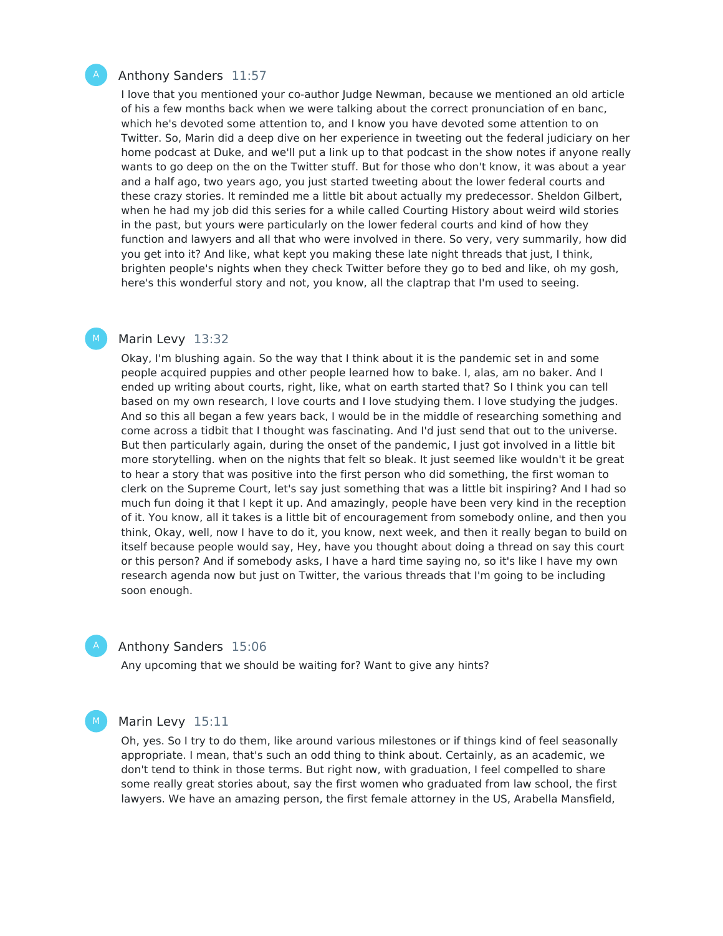#### Anthony Sanders 11:57

I love that you mentioned your co-author Judge Newman, because we mentioned an old article of his a few months back when we were talking about the correct pronunciation of en banc, which he's devoted some attention to, and I know you have devoted some attention to on Twitter. So, Marin did a deep dive on her experience in tweeting out the federal judiciary on her home podcast at Duke, and we'll put a link up to that podcast in the show notes if anyone really wants to go deep on the on the Twitter stuff. But for those who don't know, it was about a year and a half ago, two years ago, you just started tweeting about the lower federal courts and these crazy stories. It reminded me a little bit about actually my predecessor. Sheldon Gilbert, when he had my job did this series for a while called Courting History about weird wild stories in the past, but yours were particularly on the lower federal courts and kind of how they function and lawyers and all that who were involved in there. So very, very summarily, how did you get into it? And like, what kept you making these late night threads that just, I think, brighten people's nights when they check Twitter before they go to bed and like, oh my gosh, here's this wonderful story and not, you know, all the claptrap that I'm used to seeing.

#### Marin Levy 13:32 M

Okay, I'm blushing again. So the way that I think about it is the pandemic set in and some people acquired puppies and other people learned how to bake. I, alas, am no baker. And I ended up writing about courts, right, like, what on earth started that? So I think you can tell based on my own research, I love courts and I love studying them. I love studying the judges. And so this all began a few years back, I would be in the middle of researching something and come across a tidbit that I thought was fascinating. And I'd just send that out to the universe. But then particularly again, during the onset of the pandemic, I just got involved in a little bit more storytelling. when on the nights that felt so bleak. It just seemed like wouldn't it be great to hear a story that was positive into the first person who did something, the first woman to clerk on the Supreme Court, let's say just something that was a little bit inspiring? And I had so much fun doing it that I kept it up. And amazingly, people have been very kind in the reception of it. You know, all it takes is a little bit of encouragement from somebody online, and then you think, Okay, well, now Ihave to do it, you know, next week, and then it really began to build on itself because people would say, Hey, have you thought about doing a thread on say this court or this person? And if somebody asks, I have a hard time saying no, so it's like I have my own research agenda now but just on Twitter, the various threads that I'm going to be including soon enough.

#### Anthony Sanders 15:06

Any upcoming that we should be waiting for? Want to give any hints?

#### M

#### Marin Levy 15:11

Oh, yes. So I try to do them, like around various milestones or if things kind of feel seasonally appropriate. I mean, that's such an odd thing to think about. Certainly, as an academic, we don't tend to think in those terms. But right now, with graduation, I feel compelled to share some really great stories about, say the first women who graduated from law school, the first lawyers. We have an amazing person, the first female attorney in the US, Arabella Mansfield,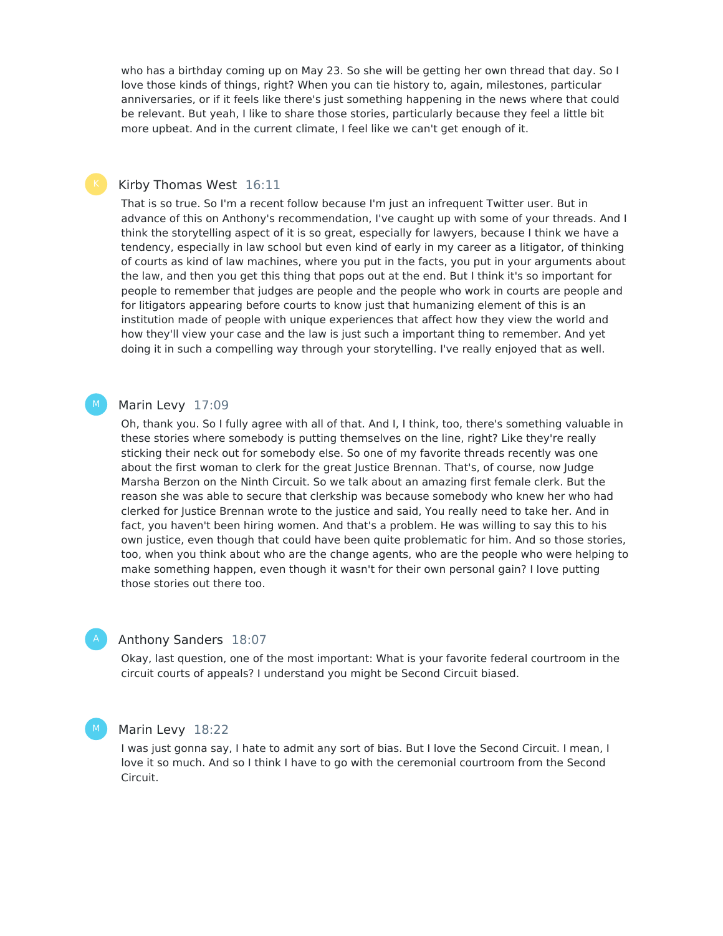who has a birthday coming up on May 23. So she will be getting her own thread that day. So I love those kinds of things, right? When you can tie history to, again, milestones, particular anniversaries, or if it feels like there's just something happening in the news where that could be relevant. But yeah, I like to share those stories, particularly because they feel a little bit more upbeat. And in the current climate, I feel like we can't get enough of it.

### Kirby Thomas West 16:11

That is so true. So I'm a recent follow because I'm just an infrequent Twitter user. But in advance of this on Anthony's recommendation, I've caught up with some of your threads. And I think the storytelling aspect of it is so great, especially for lawyers, because I think we have a tendency, especially in law school but even kind of early in my career as a litigator, of thinking of courts as kind of law machines, where you put in the facts, you put in your arguments about the law, and then you get this thing that pops out at the end. But I think it's so important for people to remember that judges are people and the people who work in courts are people and for litigators appearing before courts to know just that humanizing element of this is an institution made of people with unique experiences that affect how they view the world and how they'll view your case and the law is just such a important thing to remember. And yet doing it in such a compelling way through your storytelling. I've really enjoyed that as well.

#### Marin Levy 17:09  $M_{\odot}$

Oh, thank you. So I fully agree with all of that. And I, I think, too, there's something valuable in these stories where somebody is putting themselves on the line, right? Like they're really sticking their neck out for somebody else. So one of my favorite threads recently was one about the first woman to clerk for the great Justice Brennan. That's, of course, now Judge Marsha Berzon on the Ninth Circuit. So we talk about an amazing first female clerk. But the reason she was able to secure that clerkship was because somebody who knew her who had clerked for Justice Brennan wrote to the justice and said, You really need to take her. And in fact, you haven't been hiring women. And that's a problem. He was willing to say this to his own justice, even though that could have been quite problematic for him. And so those stories, too, when you think about who are the change agents, who are the people who were helping to make something happen, even though it wasn't for their own personal gain? I love putting those stories out there too.

#### Anthony Sanders 18:07

Okay, last question, one of the most important: What is your favorite federal courtroom in the circuit courts of appeals? I understand you might be Second Circuit biased.

#### Marin Levy 18:22

M

I was just gonna say, I hate to admit any sort of bias. But I love the Second Circuit. I mean, I love it so much. And so I think I have to go with the ceremonial courtroom from the Second Circuit.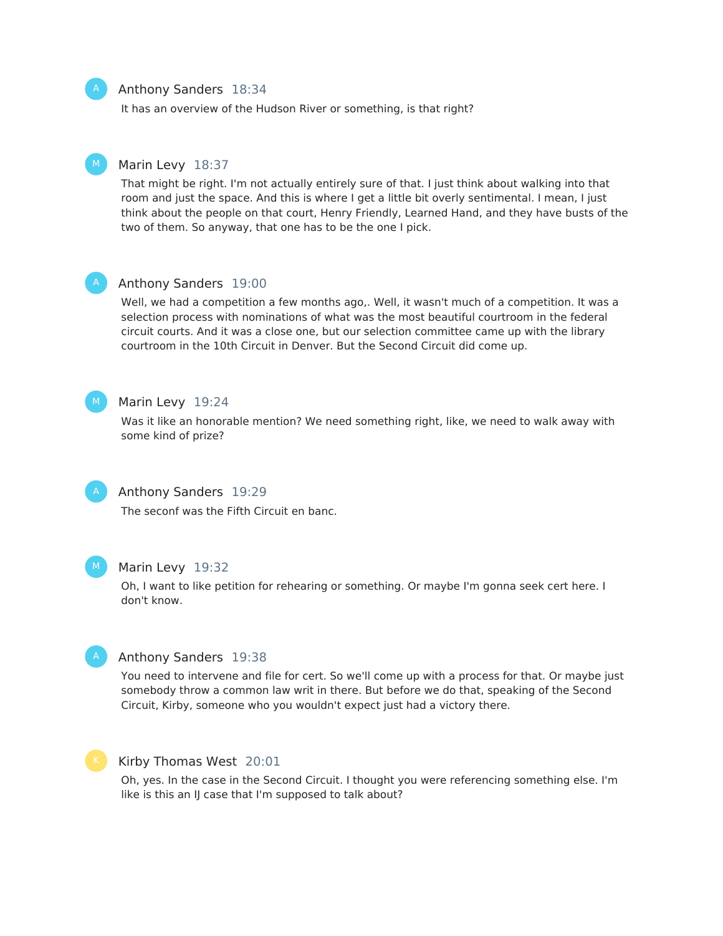#### Anthony Sanders 18:34

It has an overview of the Hudson River or something, is that right?

#### Marin Levy 18:37 M

That might be right. I'm not actually entirely sure of that. I just think about walking into that room and just the space. And this is where I get a little bit overly sentimental. I mean, I just think about the people on that court, Henry Friendly, Learned Hand, and they have busts of the two of them. So anyway, that one has to be the one I pick.



#### Anthony Sanders 19:00

Well, we had a competition a few months ago,. Well, it wasn't much of a competition. It was a selection process with nominations of what was the most beautiful courtroom in the federal circuit courts. And it was a close one, but our selection committee came up with the library courtroom in the 10th Circuit in Denver. But the Second Circuit did come up.



#### Marin Levy 19:24

Was it like an honorable mention? We need something right, like, we need to walk away with some kind of prize?



#### Anthony Sanders 19:29

The seconf was the Fifth Circuit en banc.



#### Marin Levy 19:32

Oh, I want to like petition for rehearing or something. Or maybe I'm gonna seek cert here. I don't know.



### Anthony Sanders 19:38

You need to intervene and file for cert. So we'll come up with a process for that. Or maybe just somebody throw a common law writ in there. But before we do that, speaking of the Second Circuit, Kirby, someone who you wouldn't expect just had a victory there.



#### Kirby Thomas West 20:01

Oh, yes. In the case in the Second Circuit. I thought you were referencing something else. I'm like is this an IJ case that I'm supposed to talk about?

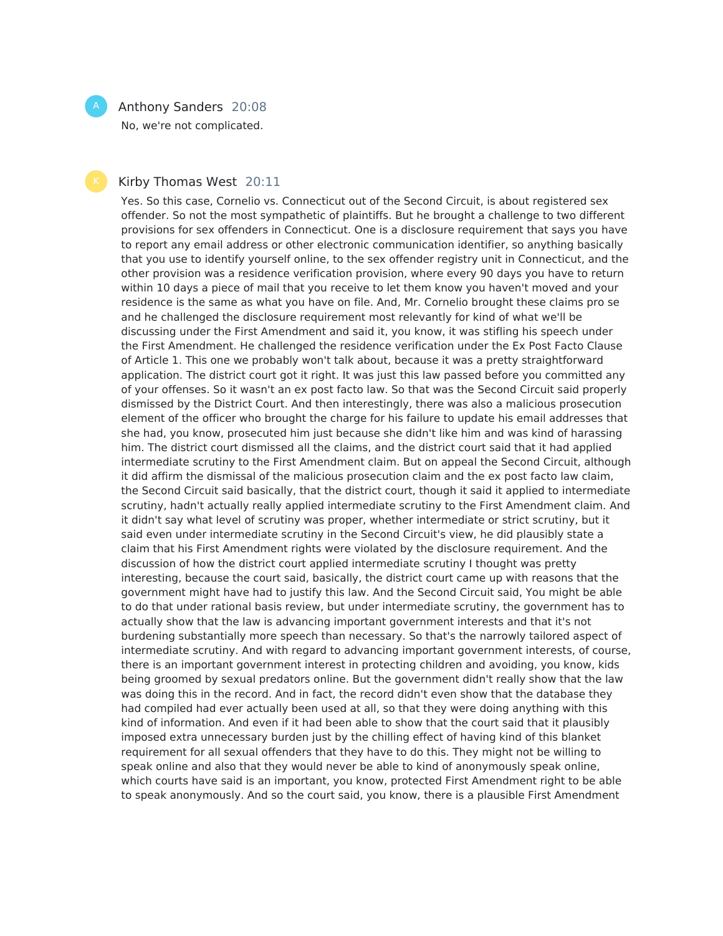## Anthony Sanders 20:08

No, we're not complicated.

## Kirby Thomas West 20:11

Yes. So this case, Cornelio vs. Connecticut out of the Second Circuit, is about registered sex offender. So not the most sympathetic of plaintiffs. But he brought a challenge to two different provisions for sex offenders in Connecticut. One is a disclosure requirement that says you have to report any email address or other electronic communication identifier, so anything basically that you use to identify yourself online, to the sex offender registry unit in Connecticut, and the other provision was a residence verification provision, where every 90 days you have to return within 10 days a piece of mail that you receive to let them know you haven't moved and your residence is the same as what you have on file. And, Mr. Cornelio brought these claims pro se and he challenged the disclosure requirement most relevantly for kind of what we'll be discussing under the First Amendment and said it, you know, it was stifling his speech under the First Amendment. He challenged the residence verification under the Ex Post Facto Clause of Article 1. This one we probably won't talk about, because it was a pretty straightforward application. The district court got it right. It was just this law passed before you committed any of your offenses. So it wasn't an ex post facto law. So that was the Second Circuit said properly dismissed by the District Court. And then interestingly, there was also a malicious prosecution element of the officer who brought the charge for his failure to update his email addresses that she had, you know, prosecuted him just because she didn't like him and was kind of harassing him. The district court dismissed all the claims, and the district court said that it had applied intermediate scrutiny to the First Amendment claim. But on appeal the Second Circuit, although it did affirm the dismissal of the malicious prosecution claim and the ex post facto law claim, the Second Circuit said basically, that the district court, though it said it applied to intermediate scrutiny, hadn't actually really applied intermediate scrutiny to the First Amendment claim. And it didn't say what level of scrutiny was proper, whether intermediate or strict scrutiny, but it said even under intermediate scrutiny in the Second Circuit's view, he did plausibly state a claim that his First Amendment rights were violated by the disclosure requirement. And the discussion of how the district court applied intermediate scrutiny I thought was pretty interesting, because the court said, basically, the district court came up with reasons that the government might have had to justify this law. And the Second Circuit said, You might be able to do that under rational basis review, but under intermediate scrutiny, the government has to actually show that the law is advancing important government interests and that it's not burdening substantially more speech than necessary. So that's the narrowly tailored aspect of intermediate scrutiny. And with regard to advancing important government interests, of course, there is an important government interest in protecting children and avoiding, you know, kids being groomed by sexual predators online. But the government didn't really show that the law was doing this in the record. And in fact, the record didn't even show that the database they had compiled had ever actually been used at all, so that they were doing anything with this kind of information. And even if it had been able to show that the court said that it plausibly imposed extra unnecessary burden just by the chilling effect of having kind of this blanket requirement for all sexual offenders that they have to do this. They might not be willing to speak online and also that they would never be able to kind of anonymously speak online, which courts have said is an important, you know, protected First Amendment right to be able to speak anonymously. And so the court said, you know, there is a plausible First Amendment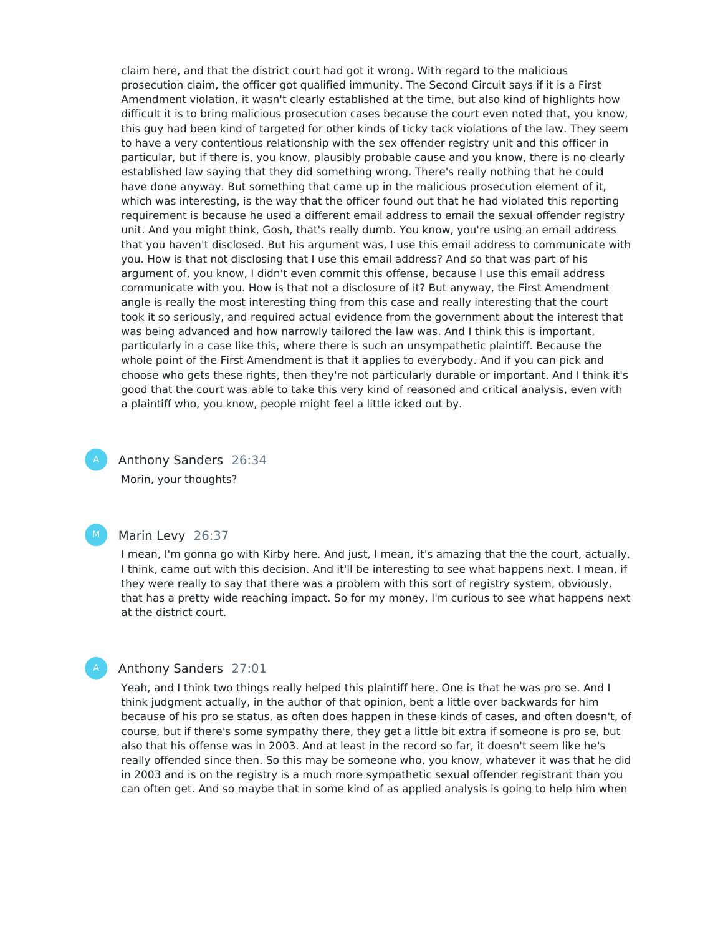claim here, and that the district court had got it wrong. With regard to the malicious prosecution claim, the officer got qualified immunity. The Second Circuit says if it is a First Amendment violation, it wasn't clearly established at the time, but also kind of highlights how difficult it is to bring malicious prosecution cases because the court even noted that, you know, this guy had been kind of targeted for other kinds of ticky tack violations of the law. They seem to have a very contentious relationship with the sex offender registry unit and this officer in particular, but if there is, you know, plausibly probable cause and you know, there is no clearly established law saying that they did something wrong. There's really nothing that he could have done anyway. But something that came up in the malicious prosecution element of it, which was interesting, is the way that the officer found out that he had violated this reporting requirement is because he used a different email address to email the sexual offender registry unit. And you might think, Gosh, that's really dumb. You know, you're using an email address that you haven't disclosed. But his argument was, I use this email address to communicate with you. How is that not disclosing that I use this email address? And so that was part of his argument of, you know, I didn't even commit this offense, because I use this email address communicate with you. How is that not a disclosure of it? But anyway, the First Amendment angle is really the most interesting thing from this case and really interesting that the court took it so seriously, and required actual evidence from the government about the interest that was being advanced and how narrowly tailored the law was. And I think this is important, particularly in a case like this, where there is such an unsympathetic plaintiff. Because the whole point of the First Amendment is that it applies to everybody. And if you can pick and choose who gets these rights, then they're not particularly durable or important. And I think it's good that the court was able to take this very kind of reasoned and critical analysis, even with a plaintiff who, you know, people might feel a little icked out by.

Anthony Sanders 26:34 Morin, your thoughts?



## Marin Levy 26:37

I mean, I'm gonna go with Kirby here. And just, I mean, it's amazing that the the court, actually, I think, came out with this decision. And it'll be interesting to see what happens next. I mean, if they were really to say that there was a problem with this sort of registry system, obviously, that has a pretty wide reaching impact. So for my money, I'm curious to see what happens next at the district court.

#### Anthony Sanders 27:01

Yeah, and I think two things really helped this plaintiff here. One is that he was pro se. And I think judgment actually, in the author of that opinion, bent a little over backwards for him because of his pro se status, as often does happen in these kinds of cases, and often doesn't, of course, but if there's some sympathy there, they get a little bit extra if someone is pro se, but also that his offense was in 2003. And at least in the record so far, it doesn't seem like he's really offended since then. So this may be someone who, you know, whatever it was that he did in 2003 and is on the registry is a much more sympathetic sexual offender registrant than you can often get. And so maybe that in some kind of as applied analysis is going to help him when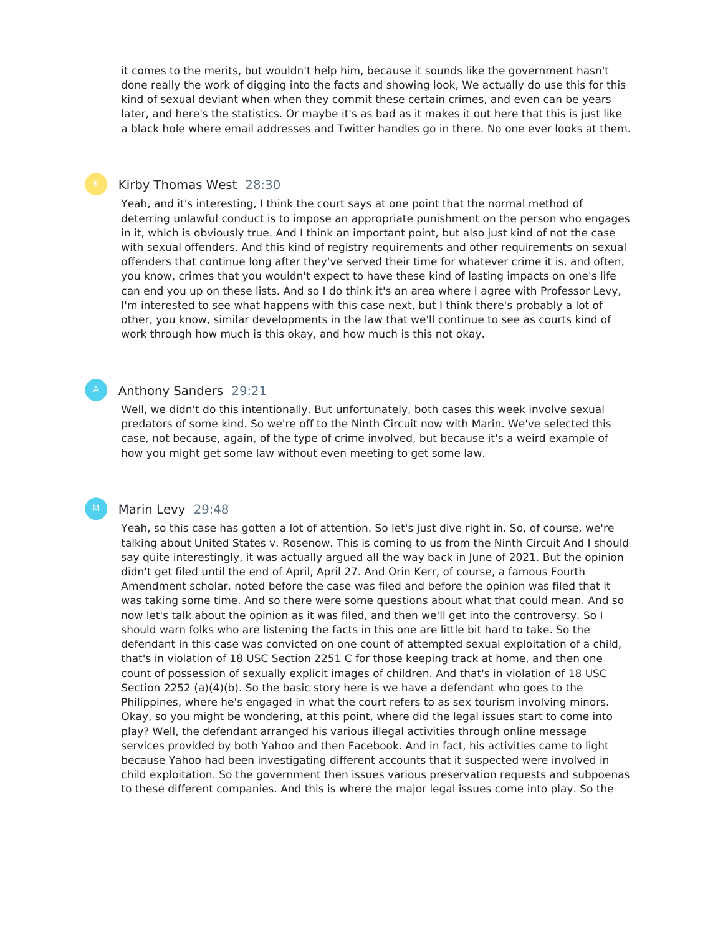it comes to the merits, but wouldn't help him, because it sounds like the government hasn't done really the work of digging into the facts and showing look, We actually do use this for this kind of sexual deviant when when they commit these certain crimes, and even can be years later, and here's the statistics. Or maybe it's as bad as it makes it out here that this is just like a black hole where email addresses and Twitter handles go in there. No one ever looks at them.

#### Kirby Thomas West 28:30

Yeah, and it's interesting, I think the court says at one point that the normal method of deterring unlawful conduct is to impose an appropriate punishment on the person who engages in it, which is obviously true. And I think an important point, but also just kind of not the case with sexual offenders. And this kind of registry requirements and other requirements on sexual offenders that continue long after they've served their time for whatever crime it is, and often, you know, crimes that you wouldn't expect to have these kind of lasting impacts on one's life can end you up on these lists. And so I do think it's an area where I agree with Professor Levy, I'm interested to see what happens with this case next, but I think there's probably a lot of other, you know, similar developments in the law that we'll continue to see as courts kind of work through how much is this okay, and how much is this not okay.

### Anthony Sanders 29:21

Well, we didn't do this intentionally. But unfortunately, both cases this week involve sexual predators of some kind. So we're off to the Ninth Circuit now with Marin. We've selected this case, not because, again, of the type of crime involved, but because it's a weird example of how you might get some law without even meeting to get some law.

#### Marin Levy 29:48

M

Yeah, so this case has gotten a lot of attention. So let's just dive right in. So, of course, we're talking about United States v. Rosenow. This is coming to us from the Ninth Circuit And I should say quite interestingly, it was actually argued all the way back in June of 2021. But the opinion didn't get filed until the end of April, April 27. And Orin Kerr, of course, a famous Fourth Amendment scholar, noted before the case was filed and before the opinion was filed that it was taking some time. And so there were some questions about what that could mean. And so now let's talk about the opinion as it was filed, and then we'll get into the controversy. So I should warn folks who are listening the facts in this one are little bit hard to take. So the defendant in this case was convicted on one count of attempted sexual exploitation of a child, that's in violation of 18 USC Section 2251 C for those keeping track at home, and then one count of possession of sexually explicit images of children. And that's in violation of 18 USC Section 2252 (a)(4)(b). So the basic story here is we have a defendant who goes to the Philippines, where he's engaged in what the court refers to as sex tourism involving minors. Okay, so you might be wondering, at this point, where did the legal issues start to come into play? Well, the defendant arranged his various illegal activities through online message services provided by both Yahoo and then Facebook. And in fact, his activities came to light because Yahoo had been investigating different accounts that it suspected were involved in child exploitation. So the government then issues various preservation requests and subpoenas to these different companies. And this is where the major legal issues come into play. So the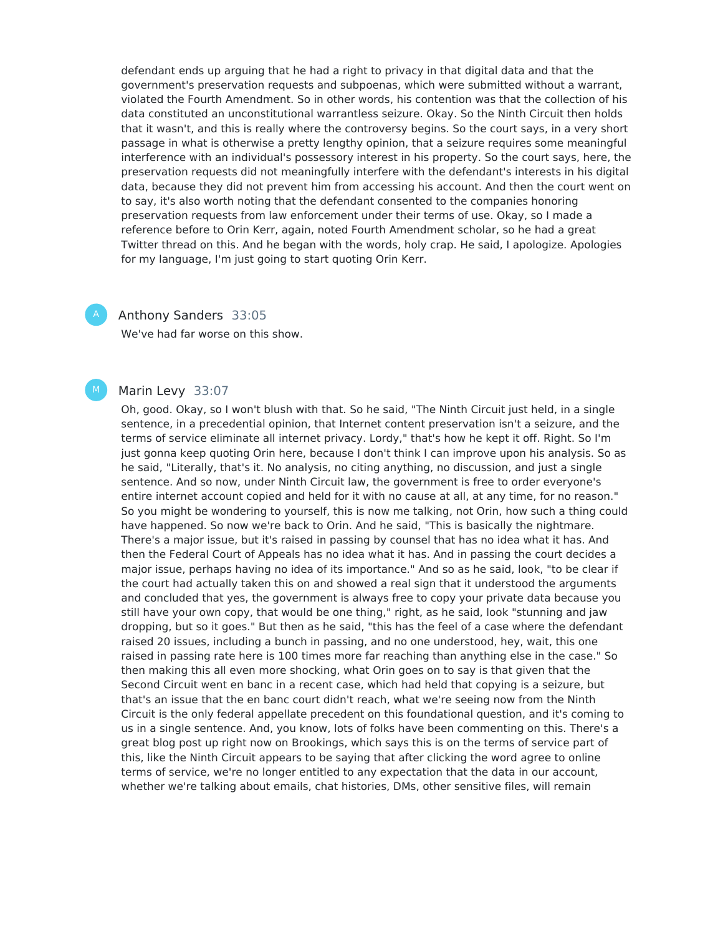defendant ends up arguing that he had a right to privacy in that digital data and that the government's preservation requests and subpoenas, which were submitted without a warrant, violated the Fourth Amendment. So in other words, his contention was that the collection of his data constituted an unconstitutional warrantless seizure. Okay. So the Ninth Circuit then holds that it wasn't, and this is really where the controversy begins. So the court says, in a very short passage in what is otherwise a pretty lengthy opinion, that a seizure requires some meaningful interference with an individual's possessory interest in his property. So the court says, here, the preservation requests did not meaningfully interfere with the defendant's interests in his digital data, because they did not prevent him from accessing his account. And then the court went on to say, it's also worth noting that the defendant consented to the companies honoring preservation requests from law enforcement under their terms of use. Okay, so I made a reference before to Orin Kerr, again, noted Fourth Amendment scholar, so he had a great Twitter thread on this. And he began with the words, holy crap. He said, I apologize. Apologies for my language, I'm just going to start quoting Orin Kerr.

#### Anthony Sanders 33:05

We've had far worse on this show.

## Marin Levy 33:07

M

Oh, good. Okay, so I won't blush with that. So he said, "The Ninth Circuit just held, in a single sentence, in a precedential opinion, that Internet content preservation isn't a seizure, and the terms of service eliminate all internet privacy. Lordy," that's how he kept it off. Right. So I'm just gonna keep quoting Orin here, because I don't think I can improve upon his analysis. So as he said, "Literally, that's it. No analysis, no citing anything, no discussion, and just a single sentence. And so now, under Ninth Circuit law, the government is free to order everyone's entire internet account copied and held for it with no cause at all, at any time, for no reason." So you might be wondering to yourself, this is now me talking, not Orin, how such a thing could have happened. So now we're back to Orin. And he said, "This is basically the nightmare. There's a major issue, but it's raised in passing by counsel that has no idea what it has. And then the Federal Court of Appeals has no idea what it has. And in passing the court decides a major issue, perhaps having no idea of its importance." And so as he said, look, "to be clear if the court had actually taken this on and showed a real sign that it understood the arguments and concluded that yes, the government is always free to copy your private data because you still have your own copy, that would be one thing," right, as he said, look "stunning and jaw dropping, but so it goes." But then as he said, "this has the feel of a case where the defendant raised 20 issues, including a bunch in passing, and no one understood, hey, wait, this one raised in passing rate here is 100 times more far reaching than anything else in the case." So then making this all even more shocking, what Orin goes on to say is that given that the Second Circuit went en banc in a recent case, which had held that copying is a seizure, but that's an issue that the en banc court didn't reach, what we're seeing now from the Ninth Circuit is the only federal appellate precedent on this foundational question, and it's coming to us in a single sentence. And, you know, lots of folks have been commenting on this. There's a great blog post up right now on Brookings, which says this is on the terms of service part of this, like the Ninth Circuit appears to be saying that after clicking the word agree to online terms of service, we're no longer entitled to any expectation that the data in our account, whether we're talking about emails, chat histories, DMs, other sensitive files, will remain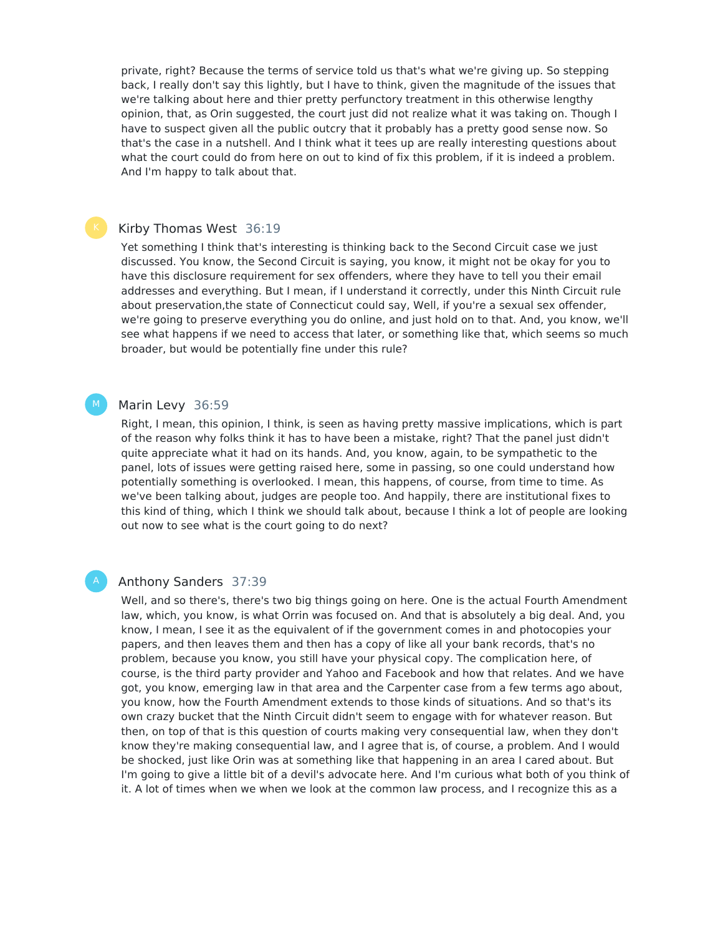private, right? Because the terms of service told us that's what we're giving up. So stepping back, I really don't say this lightly, but I have to think, given the magnitude of the issues that we're talking about here and thier pretty perfunctory treatment in this otherwise lengthy opinion, that, as Orin suggested, the court just did not realize what it was taking on. Though I have to suspect given all the public outcry that it probably has a pretty good sense now. So that's the case in a nutshell. And I think what it tees up are really interesting questions about what the court could do from here on out to kind of fix this problem, if it is indeed a problem. And I'm happy to talk about that.

#### Kirby Thomas West 36:19

Yet something I think that's interesting is thinking back to the Second Circuit case we just discussed. You know, the Second Circuit is saying, you know, it might not be okay for you to have this disclosure requirement for sex offenders, where they have to tell you their email addresses and everything. But I mean, if I understand it correctly, under this Ninth Circuit rule about preservation,the state of Connecticut could say, Well, if you're a sexual sex offender, we're going to preserve everything you do online, and just hold on to that. And, you know, we'll see what happens if we need to access that later, or something like that, which seems so much broader, but would be potentially fine under this rule?

#### Marin Levy 36:59  $M_{\odot}$

Right, I mean, this opinion, I think, is seen as having pretty massive implications, which is part of the reason why folks think it has to have been a mistake, right? That the panel just didn't quite appreciate what it had on its hands. And, you know, again, to be sympathetic to the panel, lots of issues were getting raised here, some in passing, so one could understand how potentially something is overlooked. I mean, this happens, of course, from time to time. As we've been talking about, judges are people too. And happily, there are institutional fixes to this kind of thing, which I think we should talk about, because I think a lot of people are looking out now to see what is the court going to do next?

#### Anthony Sanders 37:39

Well, and so there's, there's two big things going on here. One is the actual Fourth Amendment law, which, you know, is what Orrin was focused on. And that is absolutely a big deal. And, you know, I mean, I see it as the equivalent of if the government comes in and photocopies your papers, and then leaves them and then has a copy of like all your bank records, that's no problem, because you know, you still have your physical copy. The complication here, of course, is the third party provider and Yahoo and Facebook and how that relates. And we have got, you know, emerging law in that area and the Carpenter case from a few terms ago about, you know, how the Fourth Amendment extends to those kinds of situations. And so that's its own crazy bucket that the Ninth Circuit didn't seem to engage with for whatever reason. But then, on top of that is this question of courts making very consequential law, when they don't know they're making consequential law, and I agree that is, of course, a problem. And I would be shocked, just like Orin was at something like that happening in an area I cared about. But I'm going to give a little bit of a devil's advocate here. And I'm curious what both of you think of it. A lot of times when we when we look at the common law process, and I recognize this as a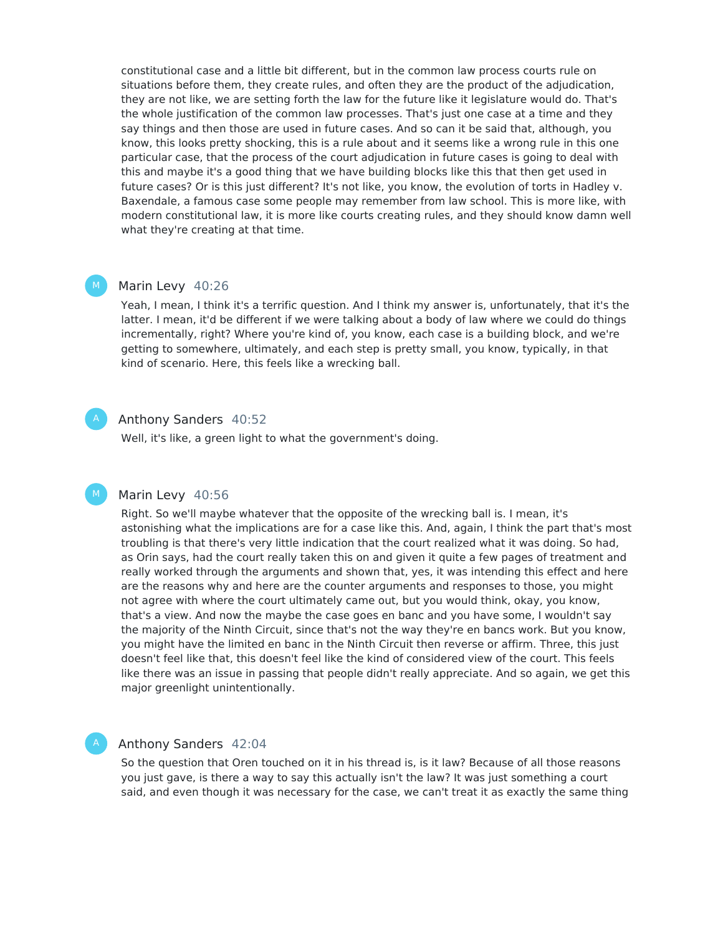constitutional case and a little bit different, but in the common law process courts rule on situations before them, they create rules, and often they are the product of the adjudication, they are not like, we are setting forth the law for the future like it legislature would do. That's the whole justification of the common law processes. That's just one case at a time and they say things and then those are used in future cases. And so can it be said that, although, you know, this looks pretty shocking, this is a rule about and it seems like a wrong rule in this one particular case, that the process of the court adjudication in future cases is going to deal with this and maybe it's a good thing that we have building blocks like this that then get used in future cases? Or is this just different? It's not like, you know, the evolution of torts in Hadley v. Baxendale, a famous case some people may remember from law school. This is more like, with modern constitutional law, it is more like courts creating rules, and they should know damn well what they're creating at that time.

#### Marin Levy 40:26  $M_{\odot}$

Yeah, I mean, I think it's a terrific question. And I think my answer is, unfortunately, that it's the latter. I mean, it'd be different if we were talking about a body of law where we could do things incrementally, right? Where you're kind of, you know, each case is a building block, and we're getting to somewhere, ultimately, and each step is pretty small, you know, typically, in that kind of scenario. Here, this feels like a wrecking ball.

### Anthony Sanders 40:52

Well, it's like, a green light to what the government's doing.

#### Marin Levy 40:56 M

Right. So we'll maybe whatever that the opposite of the wrecking ball is. I mean, it's astonishing what the implications are for a case like this. And, again, I think the part that's most troubling is that there's very little indication that the court realized what it was doing. So had, as Orin says, had the court really taken this on and given it quite a few pages of treatment and really worked through the arguments and shown that, yes, it was intending this effect and here are the reasons why and here are the counter arguments and responses to those, you might not agree with where the court ultimately came out, but you would think, okay, you know, that's a view. And now the maybe the case goes en banc and you have some, I wouldn't say the majority of the Ninth Circuit, since that's not the way they're en bancs work. But you know, you might have the limited en banc in the Ninth Circuit then reverse or affirm. Three, this just doesn't feel like that, this doesn't feel like the kind of considered view of the court. This feels like there was an issue in passing that people didn't really appreciate. And so again, we get this major greenlight unintentionally.

#### Anthony Sanders 42:04

So the question that Oren touched on it in his thread is, is it law? Because of all those reasons you just gave, is there a way to say this actually isn't the law? It was just something a court said, and even though it was necessary for the case, we can't treat it as exactly the same thing